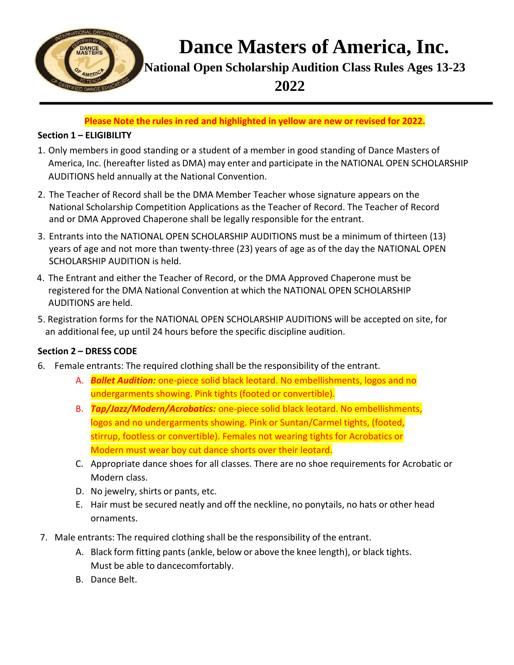

**Dance Masters of America, Inc.**

**National Open Scholarship Audition Class Rules Ages 13-23** 

**2022**

**Please Note the rules in red and highlighted in yellow are new or revised for 2022.**

## **Section 1 – ELIGIBILITY**

- 1. Only members in good standing or a student of a member in good standing of Dance Masters of America, Inc. (hereafter listed as DMA) may enter and participate in the NATIONAL OPEN SCHOLARSHIP AUDITIONS held annually at the National Convention.
- 2. The Teacher of Record shall be the DMA Member Teacher whose signature appears on the National Scholarship Competition Applications as the Teacher of Record. The Teacher of Record and or DMA Approved Chaperone shall be legally responsible for the entrant.
- 3. Entrants into the NATIONAL OPEN SCHOLARSHIP AUDITIONS must be a minimum of thirteen (13) years of age and not more than twenty-three (23) years of age as of the day the NATIONAL OPEN SCHOLARSHIP AUDITION is held.
- 4. The Entrant and either the Teacher of Record, or the DMA Approved Chaperone must be registered for the DMA National Convention at which the NATIONAL OPEN SCHOLARSHIP AUDITIONS are held.
- 5. Registration forms for the NATIONAL OPEN SCHOLARSHIP AUDITIONS will be accepted on site, for an additional fee, up until 24 hours before the specific discipline audition.

## **Section 2 – DRESS CODE**

- 6. Female entrants: The required clothing shall be the responsibility of the entrant.
	- A. *Ballet Audition:* one-piece solid black leotard. No embellishments, logos and no undergarments showing. Pink tights (footed or convertible).
	- B. *Tap/Jazz/Modern/Acrobatics:* one-piece solid black leotard. No embellishments, logos and no undergarments showing. Pink or Suntan/Carmel tights, (footed, stirrup, footless or convertible). Females not wearing tights for Acrobatics or Modern must wear boy cut dance shorts over their leotard.
	- C. Appropriate dance shoes for all classes. There are no shoe requirements for Acrobatic or Modern class.
	- D. No jewelry, shirts or pants, etc.
	- E. Hair must be secured neatly and off the neckline, no ponytails, no hats or other head ornaments.
- 7. Male entrants: The required clothing shall be the responsibility of the entrant.
	- A. Black form fitting pants (ankle, below or above the knee length), or black tights. Must be able to dancecomfortably.
	- B. Dance Belt.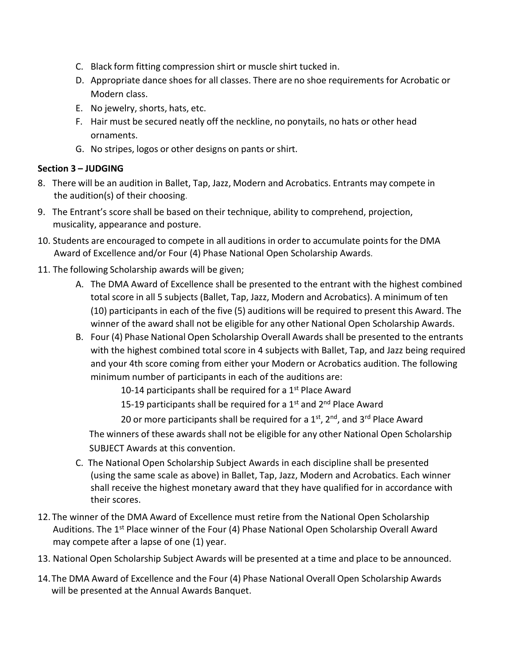- C. Black form fitting compression shirt or muscle shirt tucked in.
- D. Appropriate dance shoes for all classes. There are no shoe requirements for Acrobatic or Modern class.
- E. No jewelry, shorts, hats, etc.
- F. Hair must be secured neatly off the neckline, no ponytails, no hats or other head ornaments.
- G. No stripes, logos or other designs on pants or shirt.

## **Section 3 – JUDGING**

- 8. There will be an audition in Ballet, Tap, Jazz, Modern and Acrobatics. Entrants may compete in the audition(s) of their choosing.
- 9. The Entrant's score shall be based on their technique, ability to comprehend, projection, musicality, appearance and posture.
- 10. Students are encouraged to compete in all auditions in order to accumulate pointsfor the DMA Award of Excellence and/or Four (4) Phase National Open Scholarship Awards.
- 11. The following Scholarship awards will be given;
	- A. The DMA Award of Excellence shall be presented to the entrant with the highest combined total score in all 5 subjects (Ballet, Tap, Jazz, Modern and Acrobatics). A minimum of ten (10) participants in each of the five (5) auditions will be required to present this Award. The winner of the award shall not be eligible for any other National Open Scholarship Awards.
	- B. Four (4) Phase National Open Scholarship Overall Awards shall be presented to the entrants with the highest combined total score in 4 subjects with Ballet, Tap, and Jazz being required and your 4th score coming from either your Modern or Acrobatics audition. The following minimum number of participants in each of the auditions are:

10-14 participants shall be required for a 1<sup>st</sup> Place Award

15-19 participants shall be required for a  $1<sup>st</sup>$  and  $2<sup>nd</sup>$  Place Award

20 or more participants shall be required for a 1st, 2<sup>nd</sup>, and 3<sup>rd</sup> Place Award

The winners of these awards shall not be eligible for any other National Open Scholarship SUBJECT Awards at this convention.

- C. The National Open Scholarship Subject Awards in each discipline shall be presented (using the same scale as above) in Ballet, Tap, Jazz, Modern and Acrobatics. Each winner shall receive the highest monetary award that they have qualified for in accordance with their scores.
- 12. The winner of the DMA Award of Excellence must retire from the National Open Scholarship Auditions. The 1<sup>st</sup> Place winner of the Four (4) Phase National Open Scholarship Overall Award may compete after a lapse of one (1) year.
- 13. National Open Scholarship Subject Awards will be presented at a time and place to be announced.
- 14.The DMA Award of Excellence and the Four (4) Phase National Overall Open Scholarship Awards will be presented at the Annual Awards Banquet.